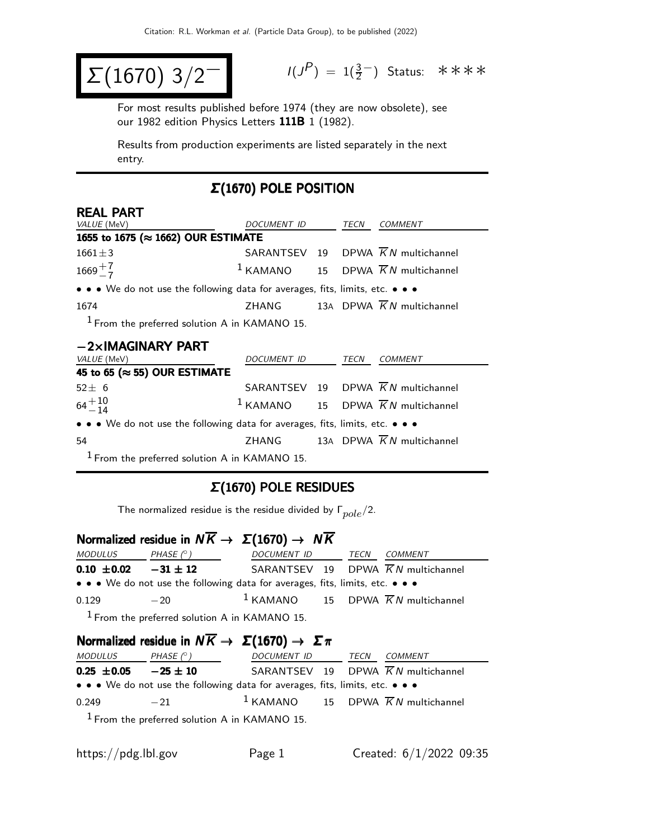$$
\Sigma(1670) 3/2^-
$$

$$
I(J^{P}) = 1(\frac{3}{2}^{-})
$$
 Status:  $\ast \ast \ast \ast$ 

For most results published before 1974 (they are now obsolete), see our 1982 edition Physics Letters 111B 1 (1982).

Results from production experiments are listed separately in the next entry.

## Σ(1670) POLE POSITION

| <b>REAL PART</b>                                                              |                    |  |      |                                                          |
|-------------------------------------------------------------------------------|--------------------|--|------|----------------------------------------------------------|
| <i>VALUE</i> (MeV)                                                            | <i>DOCUMENT ID</i> |  | TECN | COMMENT                                                  |
| 1655 to 1675 (≈ 1662) OUR ESTIMATE                                            |                    |  |      |                                                          |
| $1661 \pm 3$                                                                  |                    |  |      | SARANTSEV 19 DPWA $\overline{K}N$ multichannel           |
| $1669 + 7 \over 7$                                                            |                    |  |      | <sup>1</sup> KAMANO 15 DPWA $\overline{K}N$ multichannel |
| • • • We do not use the following data for averages, fits, limits, etc. • • • |                    |  |      |                                                          |
| 1674                                                                          |                    |  |      | ZHANG 13A DPWA $\overline{K}N$ multichannel              |
| $1$ From the preferred solution A in KAMANO 15.                               |                    |  |      |                                                          |

| $-2\times$ IMAGINARY PART                                                     |             |  |      |                                                 |  |
|-------------------------------------------------------------------------------|-------------|--|------|-------------------------------------------------|--|
| <i>VALUE</i> (MeV)                                                            | DOCUMENT ID |  | TECN | <b>COMMENT</b>                                  |  |
| 45 to 65 ( $\approx$ 55) OUR ESTIMATE                                         |             |  |      |                                                 |  |
| $52 \pm 6$                                                                    |             |  |      | SARANTSEV 19 DPWA $\overline{K}N$ multichannel  |  |
| $64^{+10}_{-14}$                                                              |             |  |      | $1$ KAMANO 15 DPWA $\overline{K}N$ multichannel |  |
| • • • We do not use the following data for averages, fits, limits, etc. • • • |             |  |      |                                                 |  |
| 54                                                                            |             |  |      | ZHANG 13A DPWA $\overline{K}N$ multichannel     |  |
| $1$ From the preferred solution A in KAMANO 15.                               |             |  |      |                                                 |  |

## Σ(1670) POLE RESIDUES

The normalized residue is the residue divided by  $\Gamma_{pole}/2$ .

# Normalized residue in  $N \overline{K} \rightarrow \Sigma(1670) \rightarrow N \overline{K}$

| <i>MODULUS</i>               | PHASE $(^\circ)$                                | DOCUMENT ID TECN                                                              |  | <i>COMMENT</i>                                  |
|------------------------------|-------------------------------------------------|-------------------------------------------------------------------------------|--|-------------------------------------------------|
| $0.10 \pm 0.02$ $-31 \pm 12$ |                                                 |                                                                               |  | SARANTSEV 19 DPWA $\overline{K}N$ multichannel  |
|                              |                                                 | • • • We do not use the following data for averages, fits, limits, etc. • • • |  |                                                 |
| 0.129                        | $-20$                                           |                                                                               |  | $1$ KAMANO 15 DPWA $\overline{K}N$ multichannel |
|                              | $1$ From the preferred solution A in KAMANO 15. |                                                                               |  |                                                 |

## Normalized residue in  $N \overline{K} \rightarrow \Sigma (1670) \rightarrow \Sigma \pi$

| <i>MODULUS</i>  | PHASE $(^\circ)$ | DOCUMENT ID                                                                   | TECN | <i>COMMENT</i>                                           |
|-----------------|------------------|-------------------------------------------------------------------------------|------|----------------------------------------------------------|
| $0.25 \pm 0.05$ | $-25 \pm 10$     |                                                                               |      | SARANTSEV 19 DPWA $\overline{K}N$ multichannel           |
|                 |                  | • • • We do not use the following data for averages, fits, limits, etc. • • • |      |                                                          |
| 0.249           | $-21$            |                                                                               |      | <sup>1</sup> KAMANO 15 DPWA $\overline{K}N$ multichannel |
|                 |                  | $1$ Erom the preferred solution A in $KAMAND$ 15                              |      |                                                          |

From the preferred solution A in KAMANO 15.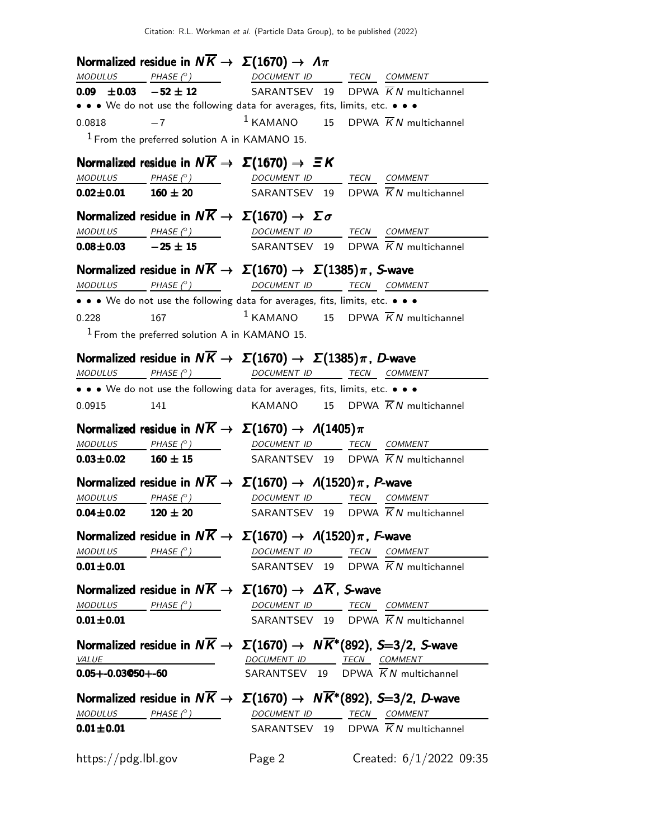|                              |                                                 | Normalized residue in $N\overline{K} \rightarrow \Sigma(1670) \rightarrow \Lambda \pi$                                                                                                                                                                                                                                                                                                                                                             |  |                                                                                                                                                                                                                                                                                                                                                                                                                                                                          |
|------------------------------|-------------------------------------------------|----------------------------------------------------------------------------------------------------------------------------------------------------------------------------------------------------------------------------------------------------------------------------------------------------------------------------------------------------------------------------------------------------------------------------------------------------|--|--------------------------------------------------------------------------------------------------------------------------------------------------------------------------------------------------------------------------------------------------------------------------------------------------------------------------------------------------------------------------------------------------------------------------------------------------------------------------|
|                              |                                                 |                                                                                                                                                                                                                                                                                                                                                                                                                                                    |  | $\begin{array}{ccccccccc} \textit{MODULUS} & \textit{PHASE}& \textcircled{?} & \textit{DOCUMENT} & \textit{ID} & \textit{TECN} & \textit{COMMENT} & \textit{ONMENT} & \textit{ONMENT} & \textit{ONMENT} & \textit{ONMENT} & \textit{ONMENT} & \textit{ONMENT} & \textit{ONMENT} & \textit{ONMENT} & \textit{ONMENT} & \textit{ONMENT} & \textit{ONMENT} & \textit{ONMENT} & \textit{ONMENT} & \textit{ONMENT} & \textit{ONMENT} & \textit{ONMENT} & \textit{ONMENT} & \$ |
|                              |                                                 |                                                                                                                                                                                                                                                                                                                                                                                                                                                    |  | <b>0.09</b> $\pm$ <b>0.03</b> $-52 \pm 12$ SARANTSEV 19 DPWA $\overline{KN}$ multichannel                                                                                                                                                                                                                                                                                                                                                                                |
|                              |                                                 | • • • We do not use the following data for averages, fits, limits, etc. • • •                                                                                                                                                                                                                                                                                                                                                                      |  |                                                                                                                                                                                                                                                                                                                                                                                                                                                                          |
| $0.0818 - 7$                 |                                                 |                                                                                                                                                                                                                                                                                                                                                                                                                                                    |  | $1$ KAMANO 15 DPWA $\overline{K}N$ multichannel                                                                                                                                                                                                                                                                                                                                                                                                                          |
|                              | $1$ From the preferred solution A in KAMANO 15. |                                                                                                                                                                                                                                                                                                                                                                                                                                                    |  |                                                                                                                                                                                                                                                                                                                                                                                                                                                                          |
|                              |                                                 | Normalized residue in $N\overline{K} \rightarrow \Sigma(1670) \rightarrow \Xi K$                                                                                                                                                                                                                                                                                                                                                                   |  |                                                                                                                                                                                                                                                                                                                                                                                                                                                                          |
|                              |                                                 |                                                                                                                                                                                                                                                                                                                                                                                                                                                    |  | $\begin{array}{ccccccccc} \textit{MODULUS} & \textit{PHASE (}^{\circ}) & \textit{DOCUMENT ID} & \textit{TECN} & \textit{COMMENT} & \textit{COMMENT} & \textit{COMMENT} & \textit{D.} & \textit{COMMENT} & \textit{D.} & \textit{COMMENT} & \textit{D.} & \textit{COMMENT} & \textit{D.} & \textit{COMMENT} & \textit{D.} & \textit{COMMENT} & \textit{D.} & \textit{COMMENT} & \textit{D.} & \textit{COMMENT} & \textit{D.} & \textit{COMMENT} & \textit{D.} &$          |
| $0.02 \pm 0.01$ $160 \pm 20$ |                                                 |                                                                                                                                                                                                                                                                                                                                                                                                                                                    |  | SARANTSEV 19 DPWA $\overline{K}N$ multichannel                                                                                                                                                                                                                                                                                                                                                                                                                           |
|                              |                                                 | Normalized residue in $N\overline{K} \rightarrow \Sigma(1670) \rightarrow \Sigma \sigma$                                                                                                                                                                                                                                                                                                                                                           |  |                                                                                                                                                                                                                                                                                                                                                                                                                                                                          |
|                              |                                                 |                                                                                                                                                                                                                                                                                                                                                                                                                                                    |  | $\begin{array}{ccccccccc} \textit{MODULUS} & \hspace{1.5cm} & \textit{PHASE}& \textcircled{?} & \hspace{1.5cm} & \textit{DOCUMENT} & \textit{ID} & \hspace{1.5cm} & \textit{TECN} & \hspace{1.5cm} & \textit{COMMENT} & \hspace{1.5cm} & \hspace{1.5cm} & \hspace{1.5cm} & \hspace{1.5cm} & \hspace{1.5cm} & \hspace{1.5cm} & \hspace{1.5cm} & \hspace{1.5cm} & \hspace{1.5cm} & \hspace{1.5cm} & \hspace{1.5cm} & \hspace{$                                             |
|                              |                                                 |                                                                                                                                                                                                                                                                                                                                                                                                                                                    |  | <b>0.08±0.03</b> -25 ± 15 SARANTSEV 19 DPWA $\overline{K}N$ multichannel                                                                                                                                                                                                                                                                                                                                                                                                 |
|                              |                                                 |                                                                                                                                                                                                                                                                                                                                                                                                                                                    |  |                                                                                                                                                                                                                                                                                                                                                                                                                                                                          |
|                              |                                                 | Normalized residue in $N\overline{K} \to \Sigma(1670) \to \Sigma(1385)\pi$ , S-wave                                                                                                                                                                                                                                                                                                                                                                |  |                                                                                                                                                                                                                                                                                                                                                                                                                                                                          |
| <b>MODULUS</b>               |                                                 | PHASE (°) DOCUMENT ID TECN COMMENT                                                                                                                                                                                                                                                                                                                                                                                                                 |  |                                                                                                                                                                                                                                                                                                                                                                                                                                                                          |
|                              |                                                 | • • • We do not use the following data for averages, fits, limits, etc. • • •                                                                                                                                                                                                                                                                                                                                                                      |  |                                                                                                                                                                                                                                                                                                                                                                                                                                                                          |
| 0.228                        | 167                                             |                                                                                                                                                                                                                                                                                                                                                                                                                                                    |  | $1$ KAMANO 15 DPWA $\overline{K}N$ multichannel                                                                                                                                                                                                                                                                                                                                                                                                                          |
|                              | $1$ From the preferred solution A in KAMANO 15. |                                                                                                                                                                                                                                                                                                                                                                                                                                                    |  |                                                                                                                                                                                                                                                                                                                                                                                                                                                                          |
|                              |                                                 | Normalized residue in $N\overline{K} \to \Sigma(1670) \to \Sigma(1385)\pi$ , D-wave                                                                                                                                                                                                                                                                                                                                                                |  |                                                                                                                                                                                                                                                                                                                                                                                                                                                                          |
|                              |                                                 | MODULUS PHASE (°) DOCUMENT ID TECN COMMENT                                                                                                                                                                                                                                                                                                                                                                                                         |  |                                                                                                                                                                                                                                                                                                                                                                                                                                                                          |
|                              |                                                 | • • • We do not use the following data for averages, fits, limits, etc. • • •                                                                                                                                                                                                                                                                                                                                                                      |  |                                                                                                                                                                                                                                                                                                                                                                                                                                                                          |
| 0.0915                       | 141                                             |                                                                                                                                                                                                                                                                                                                                                                                                                                                    |  | KAMANO 15 DPWA $\overline{K}N$ multichannel                                                                                                                                                                                                                                                                                                                                                                                                                              |
|                              |                                                 |                                                                                                                                                                                                                                                                                                                                                                                                                                                    |  |                                                                                                                                                                                                                                                                                                                                                                                                                                                                          |
|                              |                                                 | Normalized residue in $N\overline{K} \rightarrow \Sigma(1670) \rightarrow \Lambda(1405)\pi$                                                                                                                                                                                                                                                                                                                                                        |  |                                                                                                                                                                                                                                                                                                                                                                                                                                                                          |
|                              |                                                 | $MODULUS$ PHASE $(°)$ DOCUMENT ID TECN COMMENT                                                                                                                                                                                                                                                                                                                                                                                                     |  | <b>0.03±0.02</b> 160 ± 15  SARANTSEV 19 DPWA $\overline{K}N$ multichannel                                                                                                                                                                                                                                                                                                                                                                                                |
|                              |                                                 |                                                                                                                                                                                                                                                                                                                                                                                                                                                    |  |                                                                                                                                                                                                                                                                                                                                                                                                                                                                          |
|                              |                                                 | Normalized residue in $N\overline{K} \to \Sigma(1670) \to \Lambda(1520)\pi$ , P-wave                                                                                                                                                                                                                                                                                                                                                               |  |                                                                                                                                                                                                                                                                                                                                                                                                                                                                          |
|                              |                                                 | $\begin{array}{ccccccccc}\textit{MODULUS} & \textit{PHASE}&\textit{O} & \textit{OOCUMENT ID} & \textit{TECN} & \textit{COMMENT} & \textit{O.} & \textit{OMMENT} & \textit{O.} & \textit{OMMENT} & \textit{O.} & \textit{OMMENT} & \textit{O.} & \textit{OMMENT} & \textit{O.} & \textit{OMMENT} & \textit{O.} & \textit{OMMENT} & \textit{O.} & \textit{OMMENT} & \textit{O.} & \textit{OMMENT} & \textit{O.} & \textit{OMMENT} & \textit{O.} & \$ |  |                                                                                                                                                                                                                                                                                                                                                                                                                                                                          |
|                              |                                                 |                                                                                                                                                                                                                                                                                                                                                                                                                                                    |  | <b>0.04±0.02</b> 120 ± 20 SARANTSEV 19 DPWA $\overline{K}N$ multichannel                                                                                                                                                                                                                                                                                                                                                                                                 |
|                              |                                                 | Normalized residue in $N\overline{K} \to \Sigma(1670) \to \Lambda(1520)\pi$ , F-wave                                                                                                                                                                                                                                                                                                                                                               |  |                                                                                                                                                                                                                                                                                                                                                                                                                                                                          |
|                              |                                                 |                                                                                                                                                                                                                                                                                                                                                                                                                                                    |  | $\begin{array}{ccccccccc} \textit{MODULUS} & \textit{PHASE}& \textcircled{?} & \textit{DOCUMENT} & \textit{ID} & \textit{TECN} & \textit{COMMENT} & \textit{IMAD} \end{array}$                                                                                                                                                                                                                                                                                           |
| $0.01\!\pm\!0.01$            |                                                 |                                                                                                                                                                                                                                                                                                                                                                                                                                                    |  | SARANTSEV 19 DPWA $\overline{K}N$ multichannel                                                                                                                                                                                                                                                                                                                                                                                                                           |
|                              |                                                 | Normalized residue in $N\overline{K} \to \Sigma(1670) \to \Delta \overline{K}$ , S-wave                                                                                                                                                                                                                                                                                                                                                            |  |                                                                                                                                                                                                                                                                                                                                                                                                                                                                          |
|                              |                                                 |                                                                                                                                                                                                                                                                                                                                                                                                                                                    |  |                                                                                                                                                                                                                                                                                                                                                                                                                                                                          |
|                              |                                                 |                                                                                                                                                                                                                                                                                                                                                                                                                                                    |  | $\frac{MODULUS}{D.01 \pm 0.01}$ $\frac{PHASE(^{\circ})}{D.01 \pm 0.01}$ $\frac{DOCUMENT}{D.01 \pm 0.01}$ $\frac{TECN}{K}$ $\frac{COMMENT}{K}$ multichannel                                                                                                                                                                                                                                                                                                               |
|                              |                                                 |                                                                                                                                                                                                                                                                                                                                                                                                                                                    |  |                                                                                                                                                                                                                                                                                                                                                                                                                                                                          |
|                              |                                                 | Normalized residue in $N\overline{K} \to \Sigma(1670) \to N\overline{K}^*(892)$ , S=3/2, S-wave                                                                                                                                                                                                                                                                                                                                                    |  |                                                                                                                                                                                                                                                                                                                                                                                                                                                                          |
|                              |                                                 |                                                                                                                                                                                                                                                                                                                                                                                                                                                    |  | VALUE DOCUMENT ID TECN COMMENT                                                                                                                                                                                                                                                                                                                                                                                                                                           |
| $0.05 + -0.03@50 + -60$      |                                                 |                                                                                                                                                                                                                                                                                                                                                                                                                                                    |  | SARANTSEV 19 DPWA $\overline{K}N$ multichannel                                                                                                                                                                                                                                                                                                                                                                                                                           |
|                              |                                                 | Normalized residue in $N\overline{K} \to \Sigma(1670) \to N\overline{K}^*(892)$ , S=3/2, D-wave                                                                                                                                                                                                                                                                                                                                                    |  |                                                                                                                                                                                                                                                                                                                                                                                                                                                                          |
|                              |                                                 |                                                                                                                                                                                                                                                                                                                                                                                                                                                    |  |                                                                                                                                                                                                                                                                                                                                                                                                                                                                          |
|                              |                                                 |                                                                                                                                                                                                                                                                                                                                                                                                                                                    |  | $\frac{MODULUS}{D.01 \pm 0.01}$ $\frac{PHASE (^{\circ})}{D.01 \pm 0.01}$ $\frac{DOCUMENT ID}{SARANTSEV}$ $\frac{TECN}{D}$ $\frac{COMMENT}{KN}$ multichannel                                                                                                                                                                                                                                                                                                              |
|                              |                                                 |                                                                                                                                                                                                                                                                                                                                                                                                                                                    |  |                                                                                                                                                                                                                                                                                                                                                                                                                                                                          |
|                              |                                                 |                                                                                                                                                                                                                                                                                                                                                                                                                                                    |  |                                                                                                                                                                                                                                                                                                                                                                                                                                                                          |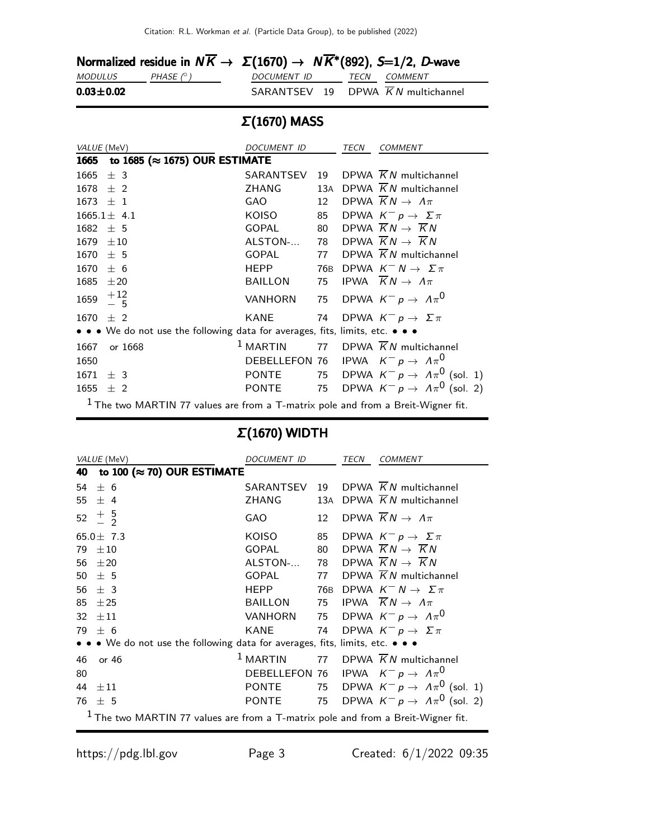|                | Normalized residue in $N\overline{K} \to \Sigma(1670) \to N\overline{K}^*(892)$ , S=1/2, D-wave |             |                                   |
|----------------|-------------------------------------------------------------------------------------------------|-------------|-----------------------------------|
| <i>MODULUS</i> | PHASE $(^\circ)$                                                                                | DOCUMENT ID | <i>TECN COMMENT</i>               |
| $0.03 + 0.02$  |                                                                                                 |             | SARANTSEV 19 DPWA KN multichannel |

# Σ(1670) MASS

| VALUE (MeV)                                                                        | DOCUMENT ID    |     | TECN | <b>COMMENT</b>                                       |
|------------------------------------------------------------------------------------|----------------|-----|------|------------------------------------------------------|
| to 1685 ( $\approx$ 1675) OUR ESTIMATE<br>1665                                     |                |     |      |                                                      |
| ± 3<br>1665                                                                        | SARANTSEV      | 19  |      | DPWA $\overline{K}N$ multichannel                    |
| 1678<br>$±$ 2                                                                      | ZHANG          | 13A |      | DPWA $\overline{K}N$ multichannel                    |
| $\pm$ 1<br>1673                                                                    | GAO            | 12  |      | DPWA $\overline{K}N \rightarrow \Lambda \pi$         |
| $1665.1 \pm 4.1$                                                                   | KOISO          | 85  |      | DPWA $K^- p \rightarrow \Sigma \pi$                  |
| $1682 \pm 5$                                                                       | GOPAL          | 80  |      | DPWA $\overline{K}N \rightarrow \overline{K}N$       |
| 1679<br>$\pm 10$                                                                   | ALSTON-        | 78  |      | DPWA $\overline{K}N \rightarrow \overline{K}N$       |
| 1670<br>± 5                                                                        | <b>GOPAL</b>   | 77  |      | DPWA $\overline{K}N$ multichannel                    |
| 1670<br>± 6                                                                        | <b>HEPP</b>    | 76B |      | DPWA $K^- N \rightarrow \Sigma \pi$                  |
| 1685<br>$\pm 20$                                                                   | <b>BAILLON</b> | 75  |      | IPWA $\overline{K}N \rightarrow \Lambda \pi$         |
| $+12\n-5$<br>1659                                                                  | VANHORN        | 75  |      | DPWA $K^- p \rightarrow \Lambda \pi^0$               |
| $+2$<br>1670                                                                       | KANE           | 74  |      | DPWA $K^- p \to \Sigma \pi$                          |
| • • • We do not use the following data for averages, fits, limits, etc. • • •      |                |     |      |                                                      |
| 1667<br>or 1668                                                                    | $1$ MARTIN     | 77  |      | DPWA $\overline{K}N$ multichannel                    |
| 1650                                                                               |                |     |      | DEBELLEFON 76 IPWA $K^- p \rightarrow \Lambda \pi^0$ |
| 1671<br>± 3                                                                        | <b>PONTE</b>   |     |      | 75 DPWA $K^- p \rightarrow \Lambda \pi^0$ (sol. 1)   |
| $1655 \pm 2$                                                                       | PONTE          |     |      | 75 DPWA $K^- p \rightarrow A \pi^0$ (sol. 2)         |
| $1$ The two MARTIN 77 values are from a T-matrix pole and from a Breit-Wigner fit. |                |     |      |                                                      |

# Σ(1670) WIDTH

| VALUE (MeV)                                                                        | <i>DOCUMENT ID</i> |     | TECN | <b>COMMENT</b>                                       |
|------------------------------------------------------------------------------------|--------------------|-----|------|------------------------------------------------------|
| to 100 ( $\approx$ 70) OUR ESTIMATE<br>40                                          |                    |     |      |                                                      |
| 54<br>$+6$                                                                         | SARANTSEV          | 19  |      | DPWA $\overline{K}N$ multichannel                    |
| 55<br>$\pm$ 4                                                                      | ZHANG              | 13A |      | DPWA $\overline{K}N$ multichannel                    |
| $+\frac{5}{2}$<br>52                                                               | GAO                | 12  |      | DPWA $KN \rightarrow \Lambda \pi$                    |
| 65.0 $\pm$ 7.3                                                                     | KOISO              | 85  |      | DPWA $K^- p \rightarrow \Sigma \pi$                  |
| $+10$<br>79                                                                        | <b>GOPAL</b>       | 80  |      | DPWA $\overline{K}N \rightarrow \overline{K}N$       |
| 56<br>$+20$                                                                        | ALSTON-            | 78  |      | DPWA $\overline{K}N \rightarrow \overline{K}N$       |
| 50<br>$+5$                                                                         | <b>GOPAL</b>       | 77  |      | DPWA $\overline{K}N$ multichannel                    |
| 56<br>$+3$                                                                         | <b>HEPP</b>        | 76B |      | DPWA $K^- N \rightarrow \Sigma \pi$                  |
| 85<br>±25                                                                          | BAILLON            | 75  |      | IPWA $\overline{K}N \rightarrow \Lambda \pi$         |
| 32<br>$\pm 11$                                                                     | VANHORN            |     |      | 75 DPWA $K^- p \rightarrow A \pi^0$                  |
| $+6$<br>79                                                                         | <b>KANE</b>        | 74  |      | DPWA $K^- p \rightarrow \Sigma \pi$                  |
| • • • We do not use the following data for averages, fits, limits, etc. • • •      |                    |     |      |                                                      |
| 46<br>or 46                                                                        | $1$ MARTIN         |     |      | 77 DPWA $\overline{K}N$ multichannel                 |
| 80                                                                                 |                    |     |      | DEBELLEFON 76 IPWA $K^- p \rightarrow \Lambda \pi^0$ |
| 44<br>$+11$                                                                        | <b>PONTE</b>       |     |      | 75 DPWA $K^- p \rightarrow \Lambda \pi^0$ (sol. 1)   |
| 76<br>$+5$                                                                         | PONTE              | 75  |      | DPWA $K^- p \rightarrow A \pi^0$ (sol. 2)            |
| $1$ The two MARTIN 77 values are from a T-matrix pole and from a Breit-Wigner fit. |                    |     |      |                                                      |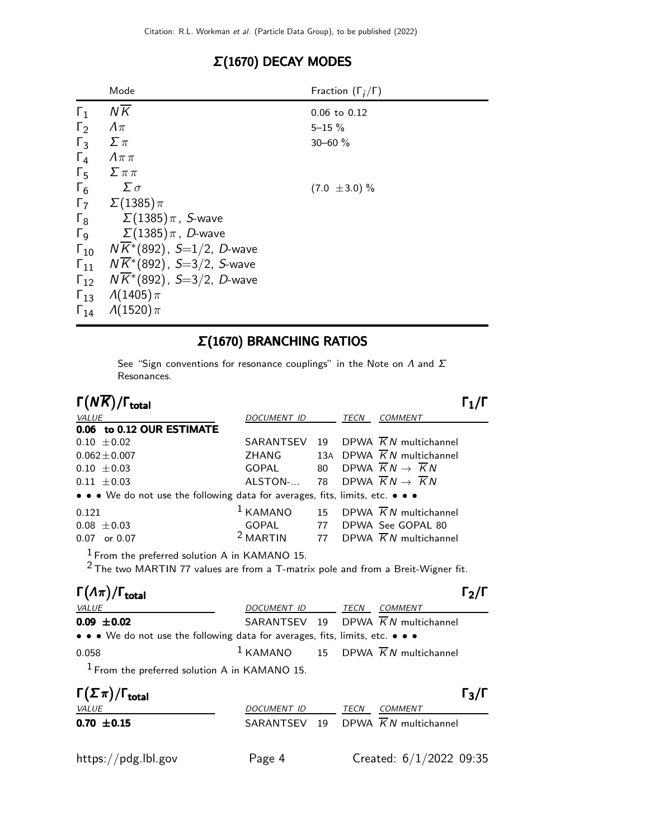## Σ(1670) DECAY MODES

|                       | Mode                                   | Fraction $(\Gamma_i/\Gamma)$ |
|-----------------------|----------------------------------------|------------------------------|
| $\Gamma_1$            | $N\overline{K}$                        | 0.06 to 0.12                 |
| $\Gamma_2$            | $\Lambda\pi$                           | $5 - 15 \%$                  |
| $\Gamma_3$            | $\sum \pi$                             | $30 - 60 \%$                 |
| $\Gamma_4$            | $\Lambda \pi \pi$                      |                              |
| $\Gamma_5$            | $\sum \pi \pi$                         |                              |
| $\Gamma_6$            | $\Sigma \sigma$                        | $(7.0 \pm 3.0) \%$           |
| $\Gamma_7$            | $\Sigma(1385)\pi$                      |                              |
| $\Gamma_8$            | $\Sigma(1385)\pi$ , S-wave             |                              |
| $\Gamma$ <sub>9</sub> | $\Sigma(1385)\pi$ , $D$ -wave          |                              |
| $\Gamma_{10}$         | $NK^*(892)$ , S=1/2, D-wave            |                              |
| $\Gamma_{11}$         | $NK*(892)$ , S=3/2, S-wave             |                              |
| $\Gamma_{12}$         | $N\overline{K}^*(892)$ , S=3/2, D-wave |                              |
| $\Gamma_{13}$         | $\Lambda(1405)\pi$                     |                              |
| $\Gamma_{14}$         | $\Lambda(1520)\pi$                     |                              |
|                       |                                        |                              |

#### Σ(1670) BRANCHING RATIOS

See "Sign conventions for resonance couplings" in the Note on  $\Lambda$  and  $\Sigma$ Resonances.

Γ $(N\overline{K})/\Gamma_{\rm total}$ Γ VALUE DOCUMENT ID TECN COMMENT 0.06 to 0.12 OUR ESTIMATE  $0.10 \pm 0.02$  SARANTSEV 19 DPWA  $\overline{K}N$  multichannel  $0.062 \pm 0.007$  ZHANG 13A DPWA  $\overline{K}N$  multichannel 0.10  $\pm$  0.03 GOPAL 80 DPWA  $\overline{K}N \rightarrow \overline{K}N$ 0.11  $\pm$ 0.03 ALSTON-... 78 DPWA  $\overline{K}N \rightarrow \overline{K}N$ • • • We do not use the following data for averages, fits, limits, etc. • • • 0.121 1 KAMANO 15 DPWA  $\overline{K}N$  multichannel  $0.08 \pm 0.03$ <br>  $0.07$  or 0.07  $^2$  MARTIN 77 DPWA  $\overline{K}N$  multichant 0.07 or 0.07 2 MARTIN 77 DPWA  $\overline{K}N$  multichannel  $<sup>1</sup>$  From the preferred solution A in KAMANO 15.</sup>

 $2$  The two MARTIN 77 values are from a T-matrix pole and from a Breit-Wigner fit.

| $\Gamma(\Lambda \pi)/\Gamma_{\rm total}$                                      |                  |  |                                                 | $\Gamma_2/\Gamma$ |
|-------------------------------------------------------------------------------|------------------|--|-------------------------------------------------|-------------------|
| <b>VALUE</b>                                                                  | DOCUMENT ID TECN |  | <i>COMMENT</i>                                  |                   |
| $0.09 \pm 0.02$                                                               |                  |  | SARANTSEV 19 DPWA $\overline{K}N$ multichannel  |                   |
| • • • We do not use the following data for averages, fits, limits, etc. • • • |                  |  |                                                 |                   |
| 0.058                                                                         |                  |  | $1$ KAMANO 15 DPWA $\overline{K}N$ multichannel |                   |
| $1$ From the preferred solution A in KAMANO 15.                               |                  |  |                                                 |                   |

| $\Gamma(\Sigma \pi)/\Gamma_{\rm total}$ |                    |      |                                   | $\Gamma_3/\Gamma$ |
|-----------------------------------------|--------------------|------|-----------------------------------|-------------------|
| <i>VALUE</i>                            | <i>DOCUMENT ID</i> | TECN | <i>COMMENT</i>                    |                   |
| $0.70 \pm 0.15$                         |                    |      | SARANTSEV 19 DPWA KN multichannel |                   |
| https://pdg.lbl.gov                     | Page 4             |      | Created: 6/1/2022 09:35           |                   |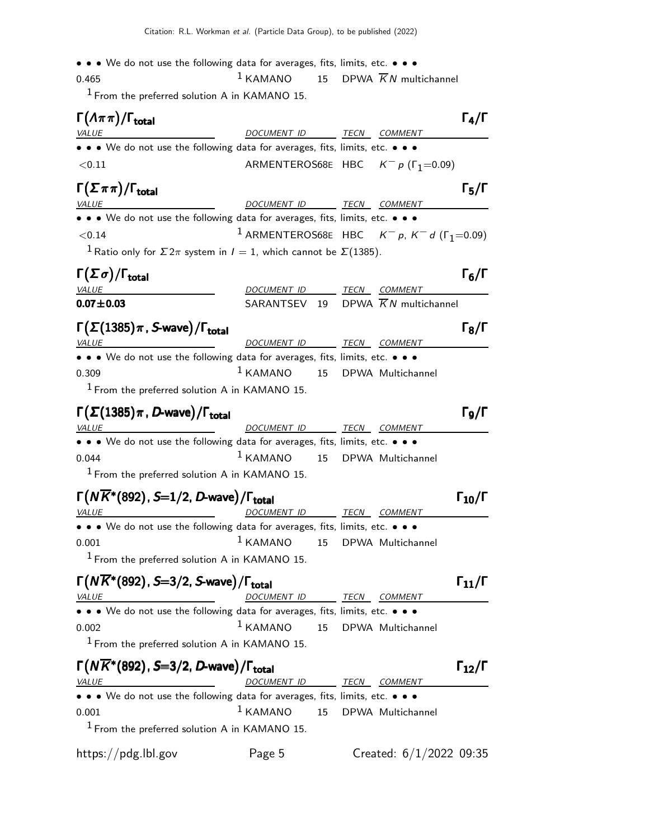• • • We do not use the following data for averages, fits, limits, etc. • • •

0.465 1 KAMANO 15 DPWA  $\overline{K}N$  multichannel  $1$  From the preferred solution A in KAMANO 15.

 $\Gamma(\Lambda \pi \pi)/\Gamma_{\text{total}}$  Γ<sub>4</sub>/Γ VALUE MALUE DOCUMENT ID TECN COMMENT • • • We do not use the following data for averages, fits, limits, etc. • • •  $< 0.11$  ARMENTEROS68E HBC  $K^- p$  (Γ<sub>1</sub>=0.09)  $\Gamma(\Sigma \pi \pi)/\Gamma_{\text{total}}$  Γ<sub>5</sub>/Γ VALUE VALUE DOCUMENT ID TECN COMMENT • • • We do not use the following data for averages, fits, limits, etc. • • •  $14$  ARMENTEROS68E HBC K<sup>−</sup> p, K<sup>−</sup> d (Γ<sub>1</sub>=0.09) <sup>1</sup> Ratio only for  $\Sigma 2\pi$  system in  $I = 1$ , which cannot be  $\Sigma$ (1385). Γ $(\Sigma \sigma)/\Gamma_{\rm total}$  Γ )/Γ<sub>total</sub>Γ6/Γ VALUE **EXAMPLE DOCUMENT ID** TECN COMMENT  $0.07 \pm 0.03$  SARANTSEV 19 DPWA  $\overline{K}N$  multichannel  $\Gamma(\Sigma(1385)\pi, S\text{-wave})/\Gamma_{\text{total}}$  Γ<sub>8</sub>/Γ total and the set of the set of the set of the set of the set of the set of the set of the set of the set of t VALUE DOCUMENT ID TECN COMMENT • • • We do not use the following data for averages, fits, limits, etc. • • • 0.309 1 KAMANO 15 DPWA Multichannel  $1$  From the preferred solution A in KAMANO 15.  $\Gamma(\Sigma(1385)\pi$  , D-wave) / Γ<sub>total</sub> Δεροφή του Καταστάν του Γε total and total and the set of the set of the set of the set of the set of the set of the set of the set of th VALUE **A COMMENT IS A COMMENT OF TECN COMMENT** • • • We do not use the following data for averages, fits, limits, etc. • • • 0.044 1 KAMANO 15 DPWA Multichannel  $1$  From the preferred solution A in KAMANO 15.  $\Gamma(N\overline{K}^*(892),S=1/2,D$ -wave $)/\Gamma_{\text{total}}$  Γ $_{10}/\Gamma$ total and  $10/1$ DOCUMENT ID TECN COMMENT • • • We do not use the following data for averages, fits, limits, etc. • • • 0.001 <sup>1</sup> KAMANO 15 DPWA Multichannel  $<sup>1</sup>$  From the preferred solution A in KAMANO 15.</sup>  $\Gamma(N\overline{K}^*(892), S=3/2, S\text{-wave})/\Gamma_{\text{total}}$  Γ<sub>11</sub>/Γ  $\Gamma_{11}/\Gamma$ DOCUMENT ID TECN COMMENT • • • We do not use the following data for averages, fits, limits, etc. • • • 0.002 1 KAMANO 15 DPWA Multichannel  $<sup>1</sup>$  From the preferred solution A in KAMANO 15.</sup>  $\Gamma(N\overline{K}^*(892), S=3/2, D$ -wave $)/\Gamma_{\text{total}}$   $\Gamma_{12}/\Gamma$  $\Gamma_{12}/\Gamma$ DOCUMENT ID TECN COMMENT • • • We do not use the following data for averages, fits, limits, etc. • • • 0.001 1 KAMANO 15 DPWA Multichannel  $1$  From the preferred solution A in KAMANO 15. https://pdg.lbl.gov Page 5 Created: 6/1/2022 09:35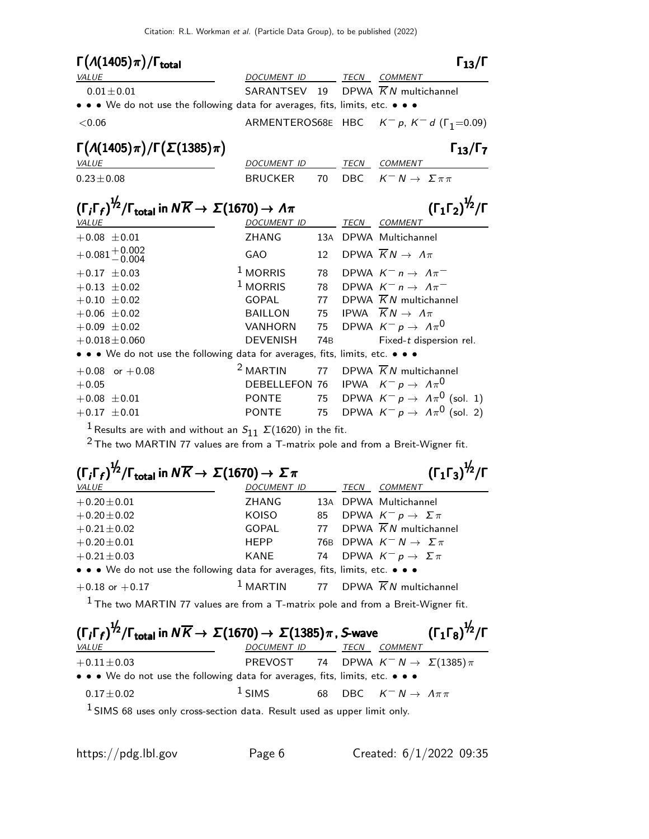| $\Gamma(A(1405)\pi)/\Gamma_{\text{total}}$                                                                                        |                 |                 |      | $\Gamma_{13}/\Gamma$                                      |
|-----------------------------------------------------------------------------------------------------------------------------------|-----------------|-----------------|------|-----------------------------------------------------------|
| <b>VALUE</b>                                                                                                                      | DOCUMENT ID     |                 |      | TECN COMMENT                                              |
| $0.01 \pm 0.01$                                                                                                                   | SARANTSEV       | 19              |      | DPWA $\overline{K}N$ multichannel                         |
| • • • We do not use the following data for averages, fits, limits, etc. • • •                                                     |                 |                 |      |                                                           |
| < 0.06                                                                                                                            |                 |                 |      | ARMENTEROS68E HBC $K^- p$ , $K^- d$ ( $\Gamma_1 = 0.09$ ) |
| $\Gamma(\Lambda(1405)\pi)/\Gamma(\Sigma(1385)\pi)$                                                                                |                 |                 |      | $\Gamma_{13}/\Gamma_7$                                    |
| VALUE                                                                                                                             | DOCUMENT ID     |                 |      | TECN COMMENT                                              |
| $0.23 \pm 0.08$                                                                                                                   | <b>BRUCKER</b>  | 70              | DBC  | $K^- N \rightarrow \Sigma \pi \pi$                        |
| $(\Gamma_i \Gamma_f)^{\frac{1}{2}} / \Gamma_{\text{total}}$ in $N \overline{K} \rightarrow \Sigma (1670) \rightarrow \Lambda \pi$ |                 |                 |      | $(\Gamma_1 \Gamma_2)^{\frac{1}{2}} / \Gamma$              |
| <b>VALUE</b>                                                                                                                      | DOCUMENT ID     |                 | TECN | COMMENT                                                   |
| $+0.08 \pm 0.01$                                                                                                                  | <b>ZHANG</b>    |                 |      | 13A DPWA Multichannel                                     |
| $+0.081 + 0.002$<br>$-0.004$                                                                                                      | GAO             | 12              |      | DPWA $\overline{K}N \rightarrow \Lambda \pi$              |
| $+0.17 \pm 0.03$                                                                                                                  | $1$ MORRIS      | 78              |      | DPWA $K^- n \rightarrow \Lambda \pi^-$                    |
| $+0.13 \pm 0.02$                                                                                                                  | $1$ MORRIS      | 78              |      | DPWA $K^- n \rightarrow \Lambda \pi^-$                    |
| $+0.10 \pm 0.02$                                                                                                                  | <b>GOPAL</b>    | 77              |      | DPWA $\overline{K}N$ multichannel                         |
| $+0.06 \pm 0.02$                                                                                                                  | <b>BAILLON</b>  | 75              |      | IPWA $\overline{K}N \rightarrow \Lambda \pi$              |
| $+0.09 \pm 0.02$                                                                                                                  | <b>VANHORN</b>  | 75              |      | DPWA $K^- p \rightarrow \Lambda \pi^0$                    |
| $+0.018 \pm 0.060$                                                                                                                | <b>DEVENISH</b> | 74 <sub>B</sub> |      | Fixed-t dispersion rel.                                   |
| • • • We do not use the following data for averages, fits, limits, etc. • • •                                                     |                 |                 |      |                                                           |
| $+0.08$ or $+0.08$                                                                                                                | $2$ MARTIN      | 77              |      | DPWA $\overline{K}N$ multichannel                         |
| $+0.05$                                                                                                                           | DEBELLEFON 76   |                 |      | IPWA $K^- p \rightarrow \Lambda \pi^0$                    |
| $+0.08 \pm 0.01$                                                                                                                  | <b>PONTE</b>    | 75              |      | DPWA $K^- p \rightarrow A \pi^0$ (sol. 1)                 |
| $+0.17 \pm 0.01$                                                                                                                  | <b>PONTE</b>    |                 |      | 75 DPWA $K^- p \rightarrow A \pi^0$ (sol. 2)              |
| <sup>1</sup> Results are with and without an $S_{11}$ $\Sigma(1620)$ in the fit.                                                  |                 |                 |      |                                                           |

 $2$  The two MARTIN 77 values are from a T-matrix pole and from a Breit-Wigner fit.

| $(\Gamma_i \Gamma_f)^{\frac{1}{2}} / \Gamma_{\text{total}}$ in $N \overline{K} \rightarrow \Sigma (1670) \rightarrow \Sigma \pi$<br>$(\Gamma_1\Gamma_3)^{\frac{1}{2}}$ /Г |                    |    |             |                                                          |
|---------------------------------------------------------------------------------------------------------------------------------------------------------------------------|--------------------|----|-------------|----------------------------------------------------------|
| <b>VALUE</b>                                                                                                                                                              | <b>DOCUMENT ID</b> |    | <b>TECN</b> | <b>COMMENT</b>                                           |
| $+0.20 \pm 0.01$                                                                                                                                                          | <b>ZHANG</b>       |    |             | 13A DPWA Multichannel                                    |
| $+0.20 \pm 0.02$                                                                                                                                                          | KOISO              | 85 |             | DPWA $K^- p \to \Sigma \pi$                              |
| $+0.21 \pm 0.02$                                                                                                                                                          | <b>GOPAL</b>       |    |             | 77 DPWA $\overline{K}N$ multichannel                     |
| $+0.20 \pm 0.01$                                                                                                                                                          | <b>HEPP</b>        |    |             | 76B DPWA $K^- N \rightarrow \Sigma \pi$                  |
| $+0.21 \pm 0.03$                                                                                                                                                          | <b>KANE</b>        |    |             | 74 DPWA $K^- p \rightarrow \Sigma \pi$                   |
| • • • We do not use the following data for averages, fits, limits, etc. • • •                                                                                             |                    |    |             |                                                          |
| $+0.18$ or $+0.17$                                                                                                                                                        |                    |    |             | <sup>1</sup> MARTIN 77 DPWA $\overline{K}N$ multichannel |

 $1$  The two MARTIN 77 values are from a T-matrix pole and from a Breit-Wigner fit.

| $(\Gamma_i\Gamma_f)^{\frac{1}{2}}/\Gamma_{\text{total}}$ in $N\overline{K}\to \Sigma(1670)\to \Sigma(1385)\pi$ , S-wave |                                                        |  |      |                                    | $(\Gamma_1 \Gamma_8)^{\frac{1}{2}}$ / $\Gamma$ |
|-------------------------------------------------------------------------------------------------------------------------|--------------------------------------------------------|--|------|------------------------------------|------------------------------------------------|
| <i>VALUE</i>                                                                                                            | DOCUMENT ID                                            |  | TECN | <b>COMMENT</b>                     |                                                |
| $+0.11 \pm 0.03$                                                                                                        | PREVOST 74 DPWA $K^{-} N \rightarrow \Sigma(1385) \pi$ |  |      |                                    |                                                |
| $\bullet \bullet \bullet$ We do not use the following data for averages, fits, limits, etc. $\bullet \bullet \bullet$   |                                                        |  |      |                                    |                                                |
| $0.17 \pm 0.02$                                                                                                         | $1$ SIMS                                               |  |      | 68 DBC $K^- N \to \Lambda \pi \pi$ |                                                |
| $1$ SIMS 68 uses only cross-section data. Result used as upper limit only.                                              |                                                        |  |      |                                    |                                                |